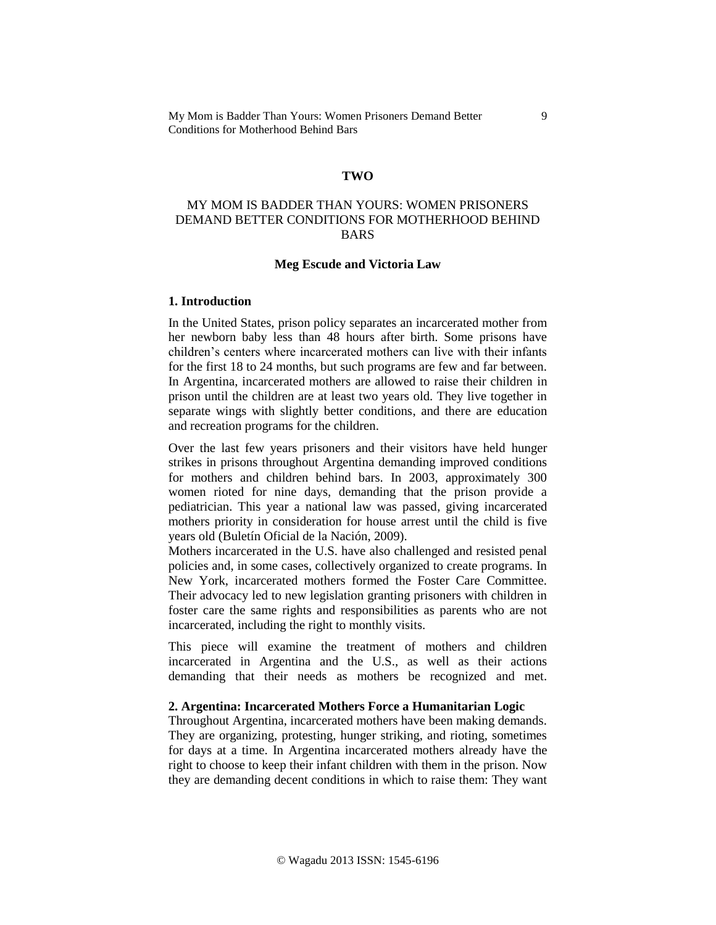### **TWO**

# MY MOM IS BADDER THAN YOURS: WOMEN PRISONERS DEMAND BETTER CONDITIONS FOR MOTHERHOOD BEHIND BARS

#### **Meg Escude and Victoria Law**

#### **1. Introduction**

In the United States, prison policy separates an incarcerated mother from her newborn baby less than 48 hours after birth. Some prisons have children's centers where incarcerated mothers can live with their infants for the first 18 to 24 months, but such programs are few and far between. In Argentina, incarcerated mothers are allowed to raise their children in prison until the children are at least two years old. They live together in separate wings with slightly better conditions, and there are education and recreation programs for the children.

Over the last few years prisoners and their visitors have held hunger strikes in prisons throughout Argentina demanding improved conditions for mothers and children behind bars. In 2003, approximately 300 women rioted for nine days, demanding that the prison provide a pediatrician. This year a national law was passed, giving incarcerated mothers priority in consideration for house arrest until the child is five years old (Buletín Oficial de la Nación, 2009).

Mothers incarcerated in the U.S. have also challenged and resisted penal policies and, in some cases, collectively organized to create programs. In New York, incarcerated mothers formed the Foster Care Committee. Their advocacy led to new legislation granting prisoners with children in foster care the same rights and responsibilities as parents who are not incarcerated, including the right to monthly visits.

This piece will examine the treatment of mothers and children incarcerated in Argentina and the U.S., as well as their actions demanding that their needs as mothers be recognized and met.

# **2. Argentina: Incarcerated Mothers Force a Humanitarian Logic**

Throughout Argentina, incarcerated mothers have been making demands. They are organizing, protesting, hunger striking, and rioting, sometimes for days at a time. In Argentina incarcerated mothers already have the right to choose to keep their infant children with them in the prison. Now they are demanding decent conditions in which to raise them: They want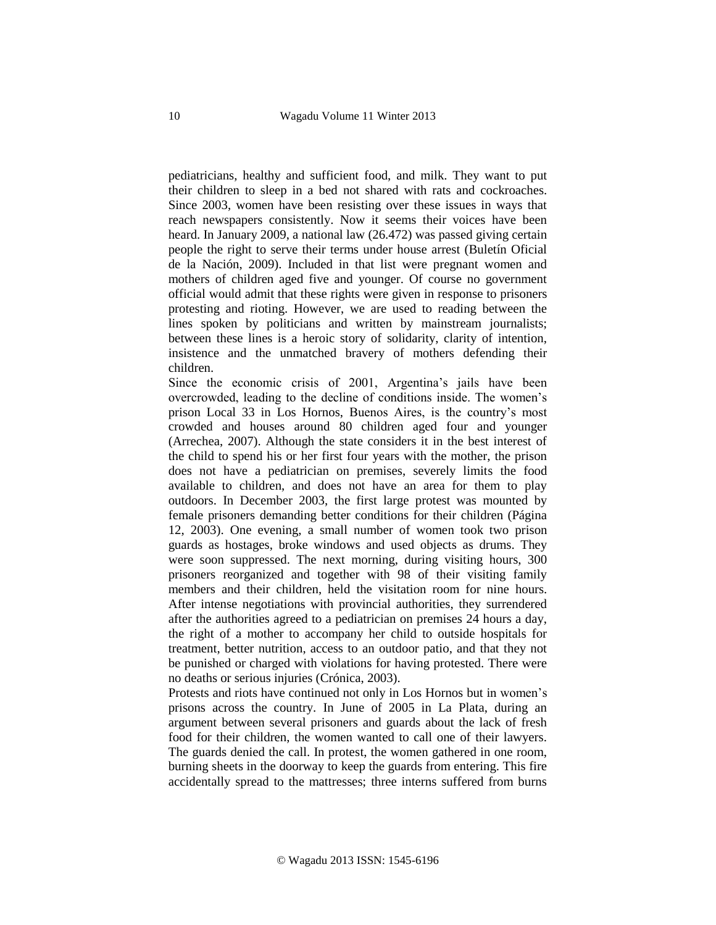pediatricians, healthy and sufficient food, and milk. They want to put their children to sleep in a bed not shared with rats and cockroaches. Since 2003, women have been resisting over these issues in ways that reach newspapers consistently. Now it seems their voices have been heard. In January 2009, a national law (26.472) was passed giving certain people the right to serve their terms under house arrest (Buletín Oficial de la Nación, 2009). Included in that list were pregnant women and mothers of children aged five and younger. Of course no government official would admit that these rights were given in response to prisoners protesting and rioting. However, we are used to reading between the lines spoken by politicians and written by mainstream journalists; between these lines is a heroic story of solidarity, clarity of intention, insistence and the unmatched bravery of mothers defending their children.

Since the economic crisis of 2001, Argentina's jails have been overcrowded, leading to the decline of conditions inside. The women's prison Local 33 in Los Hornos, Buenos Aires, is the country's most crowded and houses around 80 children aged four and younger (Arrechea, 2007). Although the state considers it in the best interest of the child to spend his or her first four years with the mother, the prison does not have a pediatrician on premises, severely limits the food available to children, and does not have an area for them to play outdoors. In December 2003, the first large protest was mounted by female prisoners demanding better conditions for their children (Página 12, 2003). One evening, a small number of women took two prison guards as hostages, broke windows and used objects as drums. They were soon suppressed. The next morning, during visiting hours, 300 prisoners reorganized and together with 98 of their visiting family members and their children, held the visitation room for nine hours. After intense negotiations with provincial authorities, they surrendered after the authorities agreed to a pediatrician on premises 24 hours a day, the right of a mother to accompany her child to outside hospitals for treatment, better nutrition, access to an outdoor patio, and that they not be punished or charged with violations for having protested. There were no deaths or serious injuries (Crónica, 2003).

Protests and riots have continued not only in Los Hornos but in women's prisons across the country. In June of 2005 in La Plata, during an argument between several prisoners and guards about the lack of fresh food for their children, the women wanted to call one of their lawyers. The guards denied the call. In protest, the women gathered in one room, burning sheets in the doorway to keep the guards from entering. This fire accidentally spread to the mattresses; three interns suffered from burns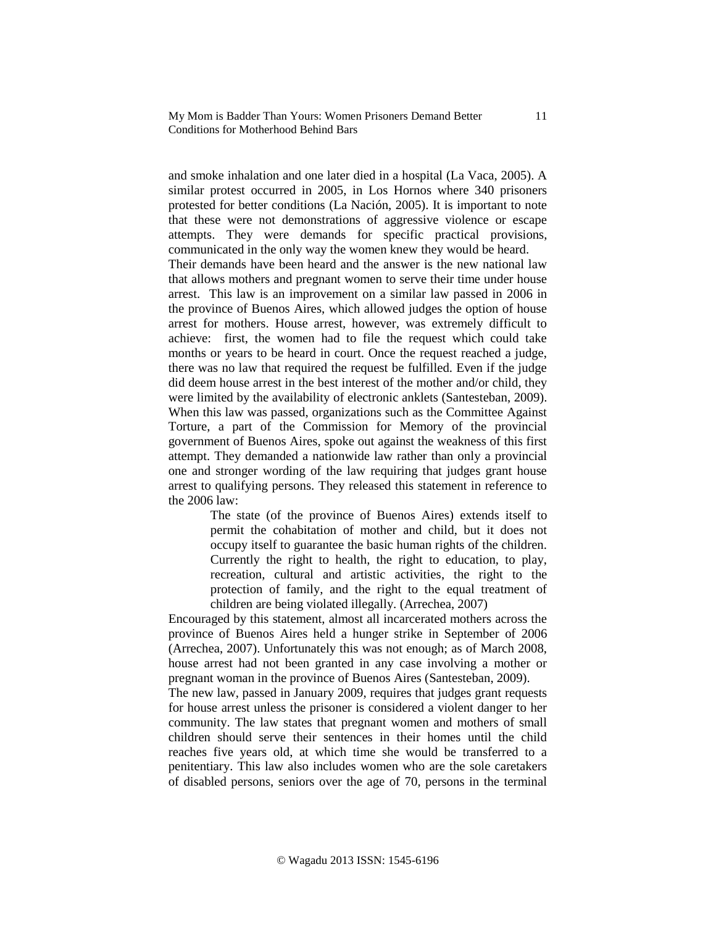and smoke inhalation and one later died in a hospital (La Vaca, 2005). A similar protest occurred in 2005, in Los Hornos where 340 prisoners protested for better conditions (La Nación, 2005). It is important to note that these were not demonstrations of aggressive violence or escape attempts. They were demands for specific practical provisions, communicated in the only way the women knew they would be heard.

Their demands have been heard and the answer is the new national law that allows mothers and pregnant women to serve their time under house arrest. This law is an improvement on a similar law passed in 2006 in the province of Buenos Aires, which allowed judges the option of house arrest for mothers. House arrest, however, was extremely difficult to achieve: first, the women had to file the request which could take months or years to be heard in court. Once the request reached a judge, there was no law that required the request be fulfilled. Even if the judge did deem house arrest in the best interest of the mother and/or child, they were limited by the availability of electronic anklets (Santesteban, 2009). When this law was passed, organizations such as the Committee Against Torture, a part of the Commission for Memory of the provincial government of Buenos Aires, spoke out against the weakness of this first attempt. They demanded a nationwide law rather than only a provincial one and stronger wording of the law requiring that judges grant house arrest to qualifying persons. They released this statement in reference to the 2006 law:

> The state (of the province of Buenos Aires) extends itself to permit the cohabitation of mother and child, but it does not occupy itself to guarantee the basic human rights of the children. Currently the right to health, the right to education, to play, recreation, cultural and artistic activities, the right to the protection of family, and the right to the equal treatment of children are being violated illegally. (Arrechea, 2007)

Encouraged by this statement, almost all incarcerated mothers across the province of Buenos Aires held a hunger strike in September of 2006 (Arrechea, 2007). Unfortunately this was not enough; as of March 2008, house arrest had not been granted in any case involving a mother or pregnant woman in the province of Buenos Aires (Santesteban, 2009).

The new law, passed in January 2009, requires that judges grant requests for house arrest unless the prisoner is considered a violent danger to her community. The law states that pregnant women and mothers of small children should serve their sentences in their homes until the child reaches five years old, at which time she would be transferred to a penitentiary. This law also includes women who are the sole caretakers of disabled persons, seniors over the age of 70, persons in the terminal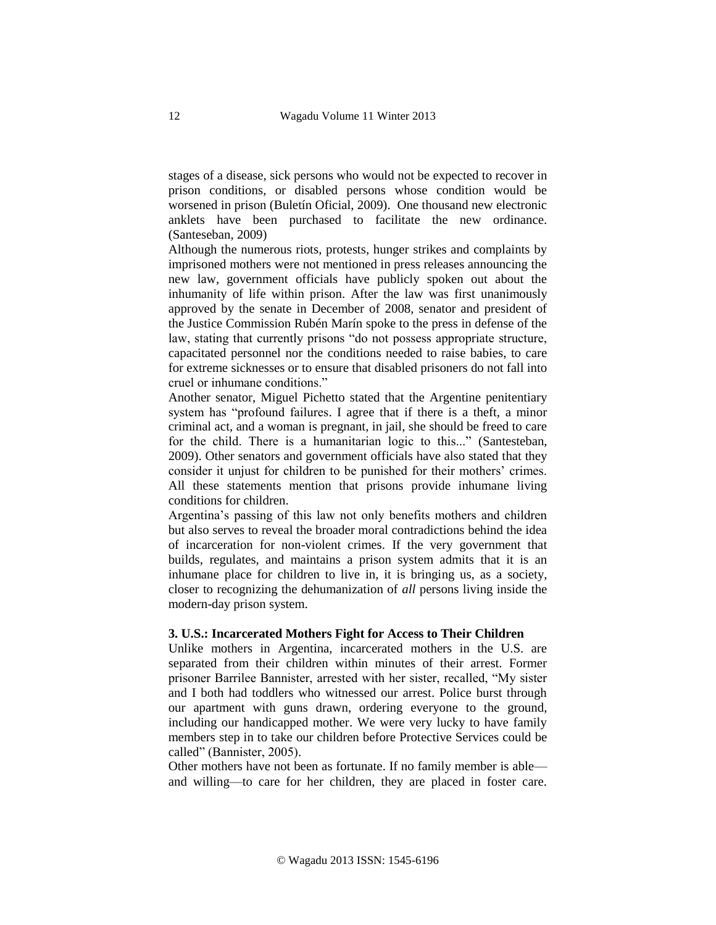stages of a disease, sick persons who would not be expected to recover in prison conditions, or disabled persons whose condition would be worsened in prison (Buletín Oficial, 2009). One thousand new electronic anklets have been purchased to facilitate the new ordinance. (Santeseban, 2009)

Although the numerous riots, protests, hunger strikes and complaints by imprisoned mothers were not mentioned in press releases announcing the new law, government officials have publicly spoken out about the inhumanity of life within prison. After the law was first unanimously approved by the senate in December of 2008, senator and president of the Justice Commission Rubén Marín spoke to the press in defense of the law, stating that currently prisons "do not possess appropriate structure, capacitated personnel nor the conditions needed to raise babies, to care for extreme sicknesses or to ensure that disabled prisoners do not fall into cruel or inhumane conditions."

Another senator, Miguel Pichetto stated that the Argentine penitentiary system has "profound failures. I agree that if there is a theft, a minor criminal act, and a woman is pregnant, in jail, she should be freed to care for the child. There is a humanitarian logic to this..." (Santesteban, 2009). Other senators and government officials have also stated that they consider it unjust for children to be punished for their mothers' crimes. All these statements mention that prisons provide inhumane living conditions for children.

Argentina's passing of this law not only benefits mothers and children but also serves to reveal the broader moral contradictions behind the idea of incarceration for non-violent crimes. If the very government that builds, regulates, and maintains a prison system admits that it is an inhumane place for children to live in, it is bringing us, as a society, closer to recognizing the dehumanization of *all* persons living inside the modern-day prison system.

# **3. U.S.: Incarcerated Mothers Fight for Access to Their Children**

Unlike mothers in Argentina, incarcerated mothers in the U.S. are separated from their children within minutes of their arrest. Former prisoner Barrilee Bannister, arrested with her sister, recalled, "My sister and I both had toddlers who witnessed our arrest. Police burst through our apartment with guns drawn, ordering everyone to the ground, including our handicapped mother. We were very lucky to have family members step in to take our children before Protective Services could be called" (Bannister, 2005).

Other mothers have not been as fortunate. If no family member is able and willing—to care for her children, they are placed in foster care.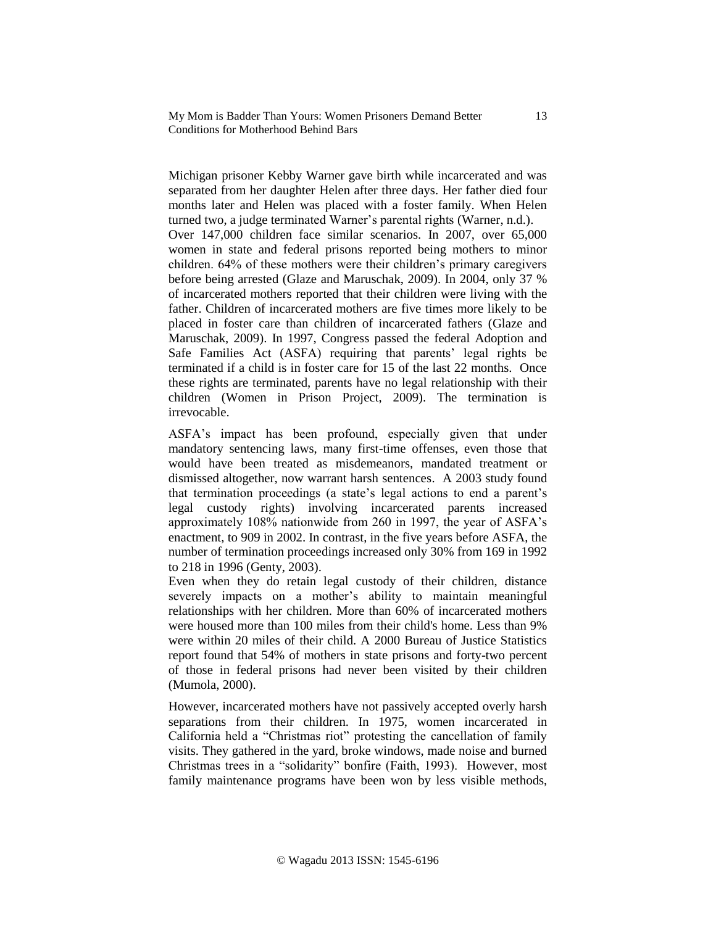Michigan prisoner Kebby Warner gave birth while incarcerated and was separated from her daughter Helen after three days. Her father died four months later and Helen was placed with a foster family. When Helen turned two, a judge terminated Warner's parental rights (Warner, n.d.). Over 147,000 children face similar scenarios. In 2007, over 65,000 women in state and federal prisons reported being mothers to minor children. 64% of these mothers were their children's primary caregivers before being arrested (Glaze and Maruschak, 2009). In 2004, only 37 % of incarcerated mothers reported that their children were living with the father. Children of incarcerated mothers are five times more likely to be placed in foster care than children of incarcerated fathers (Glaze and Maruschak, 2009). In 1997, Congress passed the federal Adoption and Safe Families Act (ASFA) requiring that parents' legal rights be terminated if a child is in foster care for 15 of the last 22 months. Once these rights are terminated, parents have no legal relationship with their children (Women in Prison Project, 2009). The termination is irrevocable.

ASFA's impact has been profound, especially given that under mandatory sentencing laws, many first-time offenses, even those that would have been treated as misdemeanors, mandated treatment or dismissed altogether, now warrant harsh sentences. A 2003 study found that termination proceedings (a state's legal actions to end a parent's legal custody rights) involving incarcerated parents increased approximately 108% nationwide from 260 in 1997, the year of ASFA's enactment, to 909 in 2002. In contrast, in the five years before ASFA, the number of termination proceedings increased only 30% from 169 in 1992 to 218 in 1996 (Genty, 2003).

Even when they do retain legal custody of their children, distance severely impacts on a mother's ability to maintain meaningful relationships with her children. More than 60% of incarcerated mothers were housed more than 100 miles from their child's home. Less than 9% were within 20 miles of their child. A 2000 Bureau of Justice Statistics report found that 54% of mothers in state prisons and forty-two percent of those in federal prisons had never been visited by their children (Mumola, 2000).

However, incarcerated mothers have not passively accepted overly harsh separations from their children. In 1975, women incarcerated in California held a "Christmas riot" protesting the cancellation of family visits. They gathered in the yard, broke windows, made noise and burned Christmas trees in a "solidarity" bonfire (Faith, 1993). However, most family maintenance programs have been won by less visible methods,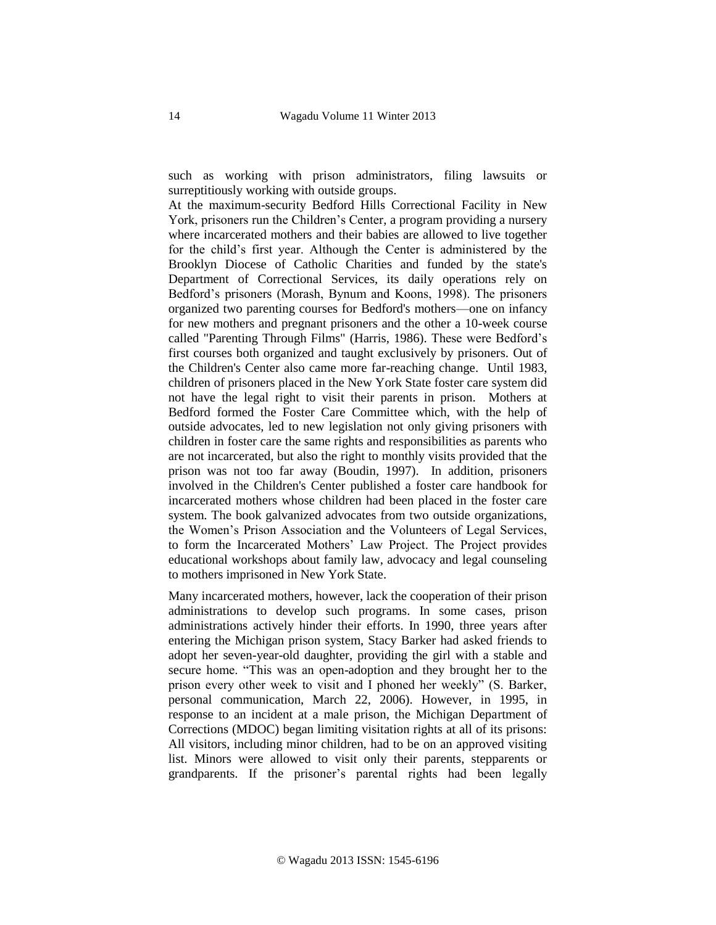such as working with prison administrators, filing lawsuits or surreptitiously working with outside groups.

At the maximum-security Bedford Hills Correctional Facility in New York, prisoners run the Children's Center, a program providing a nursery where incarcerated mothers and their babies are allowed to live together for the child's first year. Although the Center is administered by the Brooklyn Diocese of Catholic Charities and funded by the state's Department of Correctional Services, its daily operations rely on Bedford's prisoners (Morash, Bynum and Koons, 1998). The prisoners organized two parenting courses for Bedford's mothers—one on infancy for new mothers and pregnant prisoners and the other a 10-week course called "Parenting Through Films" (Harris, 1986). These were Bedford's first courses both organized and taught exclusively by prisoners. Out of the Children's Center also came more far-reaching change. Until 1983, children of prisoners placed in the New York State foster care system did not have the legal right to visit their parents in prison. Mothers at Bedford formed the Foster Care Committee which, with the help of outside advocates, led to new legislation not only giving prisoners with children in foster care the same rights and responsibilities as parents who are not incarcerated, but also the right to monthly visits provided that the prison was not too far away (Boudin, 1997). In addition, prisoners involved in the Children's Center published a foster care handbook for incarcerated mothers whose children had been placed in the foster care system. The book galvanized advocates from two outside organizations, the Women's Prison Association and the Volunteers of Legal Services, to form the Incarcerated Mothers' Law Project. The Project provides educational workshops about family law, advocacy and legal counseling to mothers imprisoned in New York State.

Many incarcerated mothers, however, lack the cooperation of their prison administrations to develop such programs. In some cases, prison administrations actively hinder their efforts. In 1990, three years after entering the Michigan prison system, Stacy Barker had asked friends to adopt her seven-year-old daughter, providing the girl with a stable and secure home. "This was an open-adoption and they brought her to the prison every other week to visit and I phoned her weekly" (S. Barker, personal communication, March 22, 2006). However, in 1995, in response to an incident at a male prison, the Michigan Department of Corrections (MDOC) began limiting visitation rights at all of its prisons: All visitors, including minor children, had to be on an approved visiting list. Minors were allowed to visit only their parents, stepparents or grandparents. If the prisoner's parental rights had been legally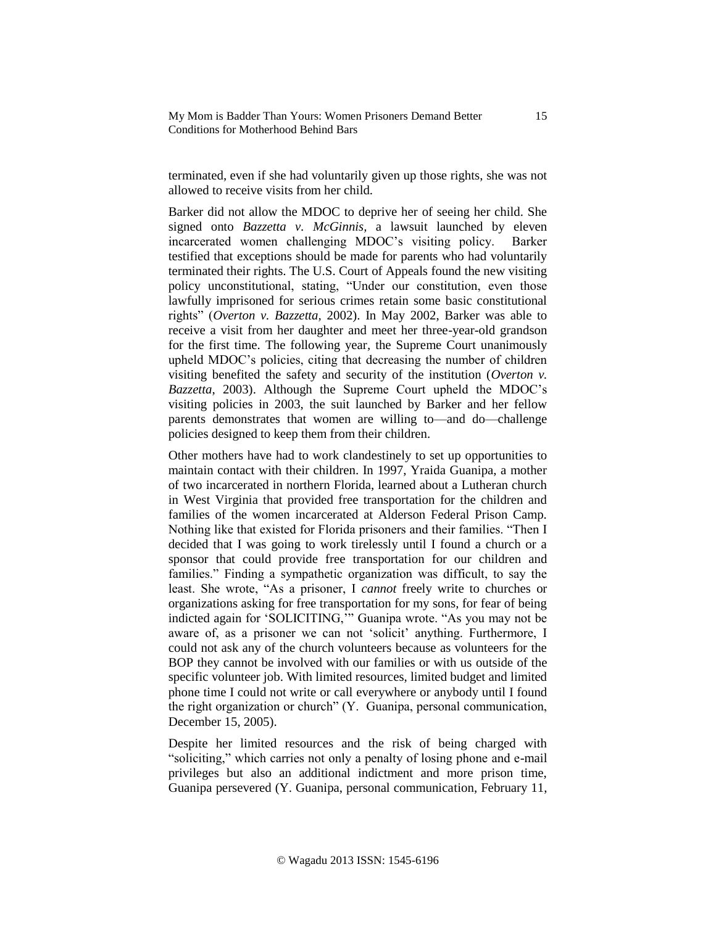terminated, even if she had voluntarily given up those rights, she was not allowed to receive visits from her child.

Barker did not allow the MDOC to deprive her of seeing her child. She signed onto *Bazzetta v. McGinnis,* a lawsuit launched by eleven incarcerated women challenging MDOC's visiting policy. Barker testified that exceptions should be made for parents who had voluntarily terminated their rights. The U.S. Court of Appeals found the new visiting policy unconstitutional, stating, "Under our constitution, even those lawfully imprisoned for serious crimes retain some basic constitutional rights" (*Overton v. Bazzetta,* 2002). In May 2002, Barker was able to receive a visit from her daughter and meet her three-year-old grandson for the first time. The following year*,* the Supreme Court unanimously upheld MDOC's policies, citing that decreasing the number of children visiting benefited the safety and security of the institution (*Overton v. Bazzetta*, 2003). Although the Supreme Court upheld the MDOC's visiting policies in 2003, the suit launched by Barker and her fellow parents demonstrates that women are willing to—and do—challenge policies designed to keep them from their children.

Other mothers have had to work clandestinely to set up opportunities to maintain contact with their children. In 1997, Yraida Guanipa, a mother of two incarcerated in northern Florida, learned about a Lutheran church in West Virginia that provided free transportation for the children and families of the women incarcerated at Alderson Federal Prison Camp. Nothing like that existed for Florida prisoners and their families. "Then I decided that I was going to work tirelessly until I found a church or a sponsor that could provide free transportation for our children and families." Finding a sympathetic organization was difficult, to say the least. She wrote, "As a prisoner, I *cannot* freely write to churches or organizations asking for free transportation for my sons, for fear of being indicted again for 'SOLICITING,'" Guanipa wrote. "As you may not be aware of, as a prisoner we can not 'solicit' anything. Furthermore, I could not ask any of the church volunteers because as volunteers for the BOP they cannot be involved with our families or with us outside of the specific volunteer job. With limited resources, limited budget and limited phone time I could not write or call everywhere or anybody until I found the right organization or church" (Y. Guanipa, personal communication, December 15, 2005).

Despite her limited resources and the risk of being charged with "soliciting," which carries not only a penalty of losing phone and e-mail privileges but also an additional indictment and more prison time, Guanipa persevered (Y. Guanipa, personal communication, February 11,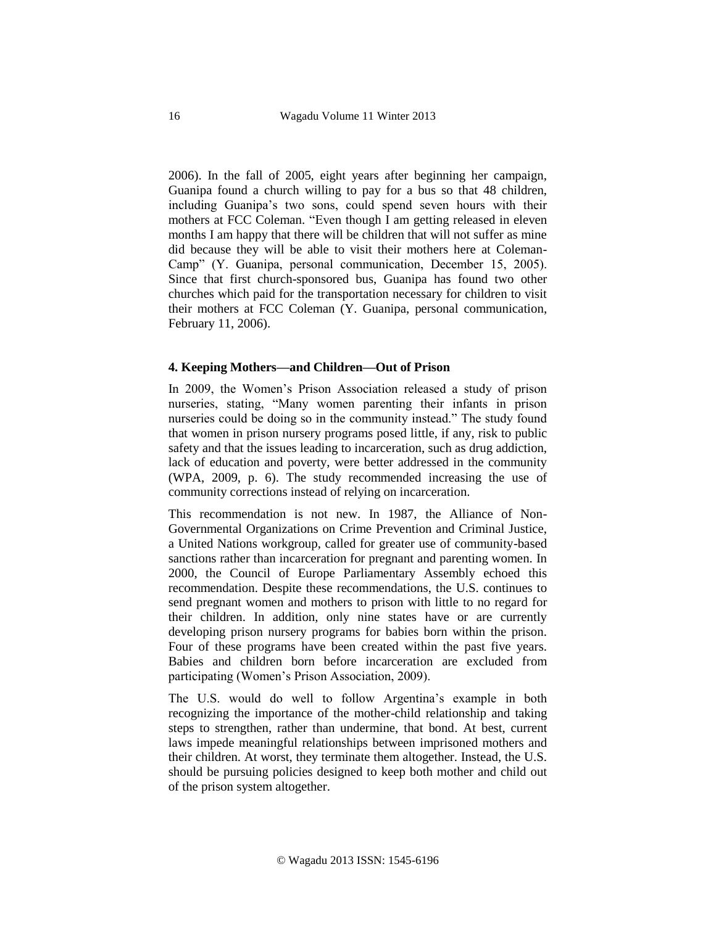2006). In the fall of 2005, eight years after beginning her campaign, Guanipa found a church willing to pay for a bus so that 48 children, including Guanipa's two sons, could spend seven hours with their mothers at FCC Coleman. "Even though I am getting released in eleven months I am happy that there will be children that will not suffer as mine did because they will be able to visit their mothers here at Coleman-Camp" (Y. Guanipa, personal communication, December 15, 2005). Since that first church-sponsored bus, Guanipa has found two other churches which paid for the transportation necessary for children to visit their mothers at FCC Coleman (Y. Guanipa, personal communication, February 11, 2006).

## **4. Keeping Mothers—and Children—Out of Prison**

In 2009, the Women's Prison Association released a study of prison nurseries, stating, "Many women parenting their infants in prison nurseries could be doing so in the community instead." The study found that women in prison nursery programs posed little, if any, risk to public safety and that the issues leading to incarceration, such as drug addiction, lack of education and poverty, were better addressed in the community (WPA, 2009, p. 6). The study recommended increasing the use of community corrections instead of relying on incarceration.

This recommendation is not new. In 1987, the Alliance of Non-Governmental Organizations on Crime Prevention and Criminal Justice, a United Nations workgroup, called for greater use of community-based sanctions rather than incarceration for pregnant and parenting women. In 2000, the Council of Europe Parliamentary Assembly echoed this recommendation. Despite these recommendations, the U.S. continues to send pregnant women and mothers to prison with little to no regard for their children. In addition, only nine states have or are currently developing prison nursery programs for babies born within the prison. Four of these programs have been created within the past five years. Babies and children born before incarceration are excluded from participating (Women's Prison Association, 2009).

The U.S. would do well to follow Argentina's example in both recognizing the importance of the mother-child relationship and taking steps to strengthen, rather than undermine, that bond. At best, current laws impede meaningful relationships between imprisoned mothers and their children. At worst, they terminate them altogether. Instead, the U.S. should be pursuing policies designed to keep both mother and child out of the prison system altogether.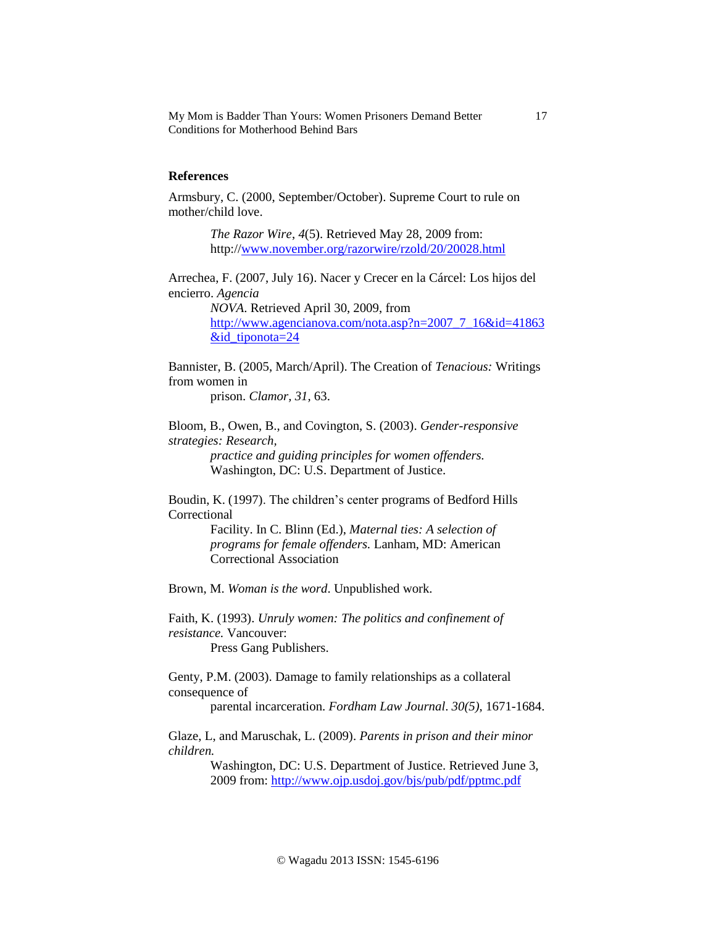# **References**

Armsbury, C. (2000, September/October). Supreme Court to rule on mother/child love.

> *The Razor Wire*, *4*(5). Retrieved May 28, 2009 from: http:/[/www.november.org/razorwire/rzold/20/20028.html](http://www.november.org/razorwire/rzold/20/20028.html)

Arrechea, F. (2007, July 16). Nacer y Crecer en la Cárcel: Los hijos del encierro. *Agencia* 

> *NOVA*. Retrieved April 30, 2009, from [http://www.agencianova.com/nota.asp?n=2007\\_7\\_16&id=41863](http://www.agencianova.com/nota.asp?n=2007_7_16&id=41863&id_tiponota=24) [&id\\_tiponota=24](http://www.agencianova.com/nota.asp?n=2007_7_16&id=41863&id_tiponota=24)

Bannister, B. (2005, March/April). The Creation of *Tenacious:* Writings from women in

prison. *Clamor, 31,* 63.

Bloom, B., Owen, B., and Covington, S. (2003). *Gender-responsive strategies: Research,* 

> *practice and guiding principles for women offenders.*  Washington, DC: U.S. Department of Justice.

Boudin, K. (1997). The children's center programs of Bedford Hills Correctional

> Facility. In C. Blinn (Ed.), *Maternal ties: A selection of programs for female offenders.* Lanham, MD: American Correctional Association

Brown, M. *Woman is the word*. Unpublished work.

Faith, K. (1993). *Unruly women: The politics and confinement of resistance.* Vancouver: Press Gang Publishers.

Genty, P.M. (2003). Damage to family relationships as a collateral consequence of parental incarceration. *Fordham Law Journal*. *30(5)*, 1671-1684.

Glaze, L, and Maruschak, L. (2009). *Parents in prison and their minor children.*

Washington, DC: U.S. Department of Justice. Retrieved June 3, 2009 from: <http://www.ojp.usdoj.gov/bjs/pub/pdf/pptmc.pdf>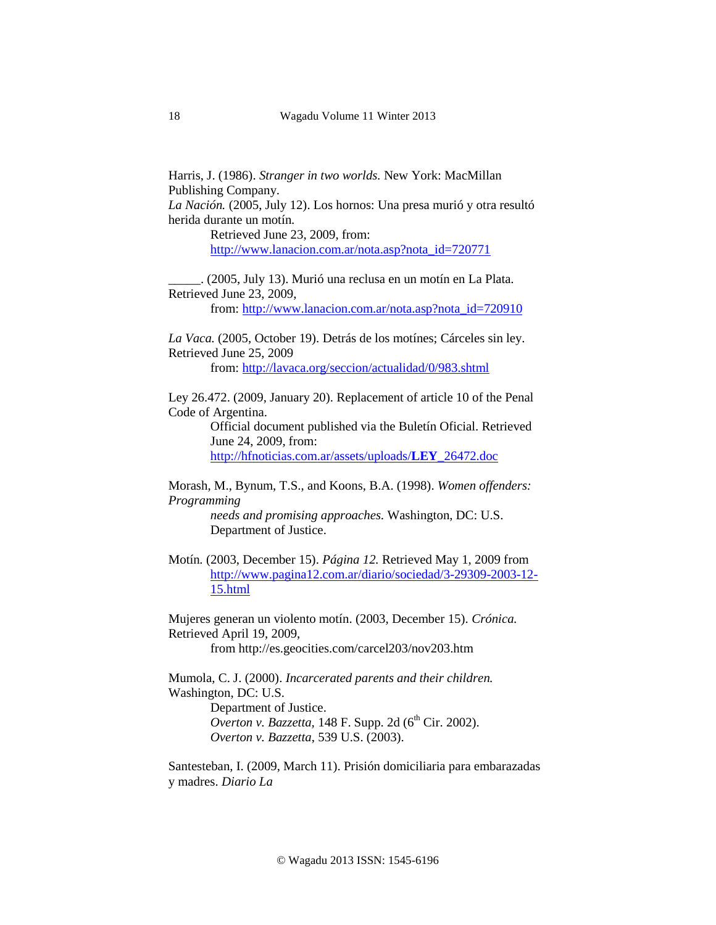Harris, J. (1986). *Stranger in two worlds.* New York: MacMillan Publishing Company.

*La Nación.* (2005, July 12). Los hornos: Una presa murió y otra resultó herida durante un motín*.* 

> Retrieved June 23, 2009, from: [http://www.lanacion.com.ar/nota.asp?nota\\_id=720771](http://www.lanacion.com.ar/nota.asp?nota_id=720771)

\_\_\_\_\_. (2005, July 13). Murió una reclusa en un motín en La Plata*.*  Retrieved June 23, 2009,

from: [http://www.lanacion.com.ar/nota.asp?nota\\_id=720910](http://www.lanacion.com.ar/nota.asp?nota_id=720910)

*La Vaca.* (2005, October 19). Detrás de los motínes; Cárceles sin ley. Retrieved June 25, 2009 from:<http://lavaca.org/seccion/actualidad/0/983.shtml>

Ley 26.472. (2009, January 20). Replacement of article 10 of the Penal Code of Argentina.

> Official document published via the Buletín Oficial. Retrieved June 24, 2009, from:

[http://hfnoticias.com.ar/assets/uploads/](http://hfnoticias.com.ar/assets/uploads/LEY_26472.doc)**LEY**\_26472.doc

Morash, M., Bynum, T.S., and Koons, B.A. (1998). *Women offenders: Programming* 

*needs and promising approaches.* Washington, DC: U.S. Department of Justice.

Motín*.* (2003, December 15). *Página 12.* Retrieved May 1, 2009 from [http://www.pagina12.com.ar/diario/sociedad/3-29309-2003-12-](http://www.pagina12.com.ar/diario/sociedad/3-29309-2003-12-15.html) [15.html](http://www.pagina12.com.ar/diario/sociedad/3-29309-2003-12-15.html)

Mujeres generan un violento motín. (2003, December 15). *Crónica.*  Retrieved April 19, 2009, from http://es.geocities.com/carcel203/nov203.htm

Mumola, C. J. (2000). *Incarcerated parents and their children.*  Washington, DC: U.S.

> Department of Justice. *Overton v. Bazzetta,* 148 F. Supp. 2d (6<sup>th</sup> Cir. 2002). *Overton v. Bazzetta*, 539 U.S. (2003).

Santesteban, I. (2009, March 11). Prisión domiciliaria para embarazadas y madres. *Diario La*